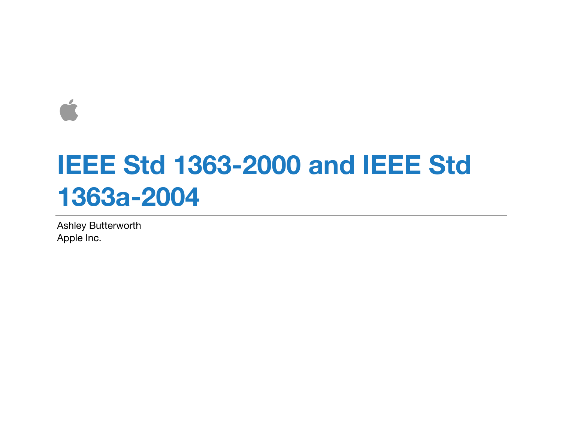$\overline{\phantom{a}}$ 

## **IEEE Std 1363-2000 and IEEE Std 1363a-2004**

Ashley Butterworth Apple Inc.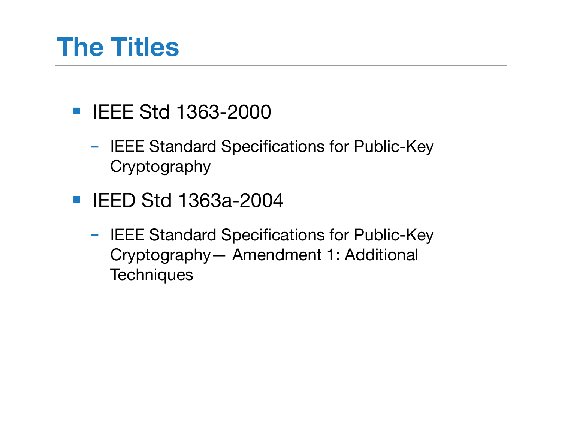#### **The Titles**

- IEEE Std 1363-2000
	- IEEE Standard Specifications for Public-Key Cryptography
- IEED Std 1363a-2004
	- IEEE Standard Specifications for Public-Key Cryptography— Amendment 1: Additional **Techniques**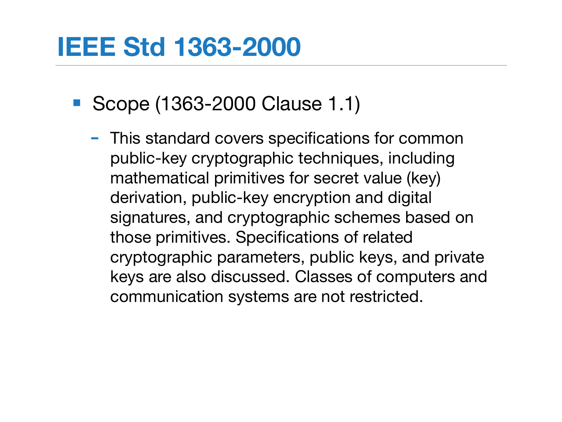#### **IEEE Std 1363-2000**

- Scope (1363-2000 Clause 1.1)
	- This standard covers specifications for common public-key cryptographic techniques, including mathematical primitives for secret value (key) derivation, public-key encryption and digital signatures, and cryptographic schemes based on those primitives. Specifications of related cryptographic parameters, public keys, and private keys are also discussed. Classes of computers and communication systems are not restricted.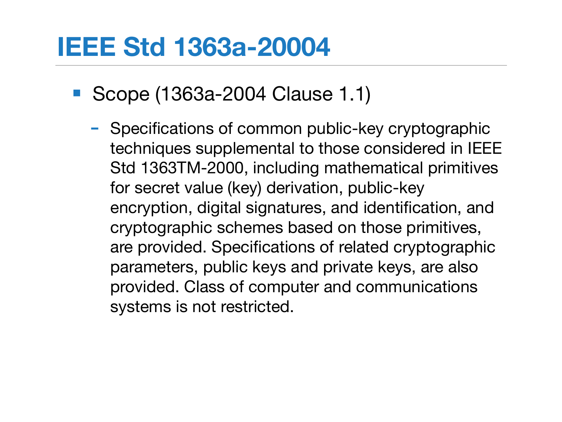#### **IEEE Std 1363a-20004**

- Scope (1363a-2004 Clause 1.1)
	- Specifications of common public-key cryptographic techniques supplemental to those considered in IEEE Std 1363TM-2000, including mathematical primitives for secret value (key) derivation, public-key encryption, digital signatures, and identification, and cryptographic schemes based on those primitives, are provided. Specifications of related cryptographic parameters, public keys and private keys, are also provided. Class of computer and communications systems is not restricted.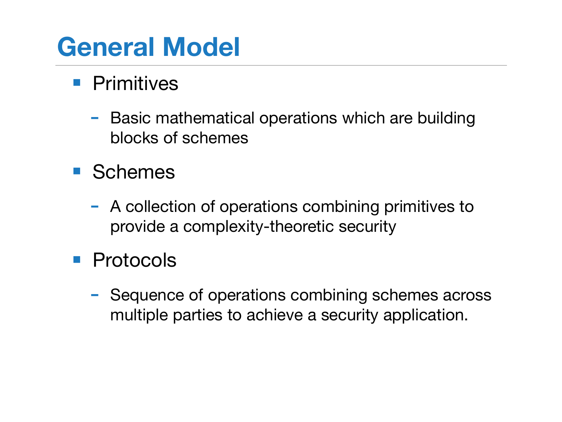## **General Model**

#### ■ Primitives

- Basic mathematical operations which are building blocks of schemes
- Schemes
	- A collection of operations combining primitives to provide a complexity-theoretic security
- Protocols
	- Sequence of operations combining schemes across multiple parties to achieve a security application.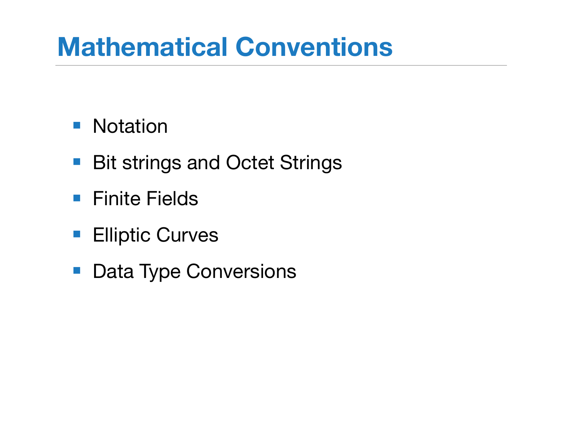#### **Mathematical Conventions**

#### ■ Notation

- Bit strings and Octet Strings
- Finite Fields
- Elliptic Curves
- Data Type Conversions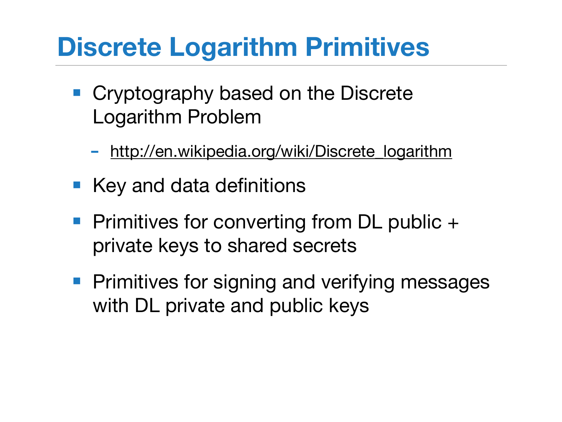#### **Discrete Logarithm Primitives**

- Cryptography based on the Discrete Logarithm Problem
	- [http://en.wikipedia.org/wiki/Discrete\\_logarithm](http://en.wikipedia.org/wiki/Discrete_logarithm)
- Key and data definitions
- Primitives for converting from DL public + private keys to shared secrets
- Primitives for signing and verifying messages with DL private and public keys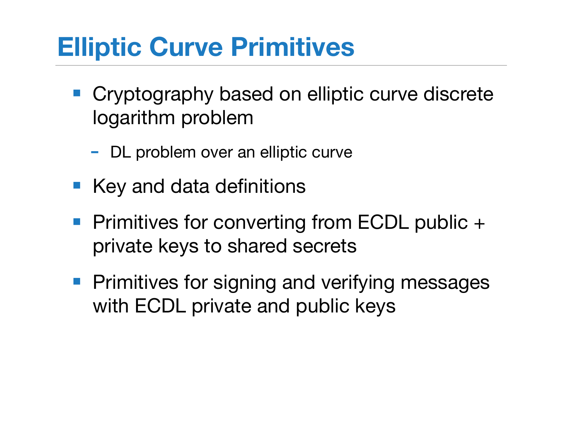## **Elliptic Curve Primitives**

- Cryptography based on elliptic curve discrete logarithm problem
	- DL problem over an elliptic curve
- Key and data definitions
- Primitives for converting from ECDL public + private keys to shared secrets
- Primitives for signing and verifying messages with ECDL private and public keys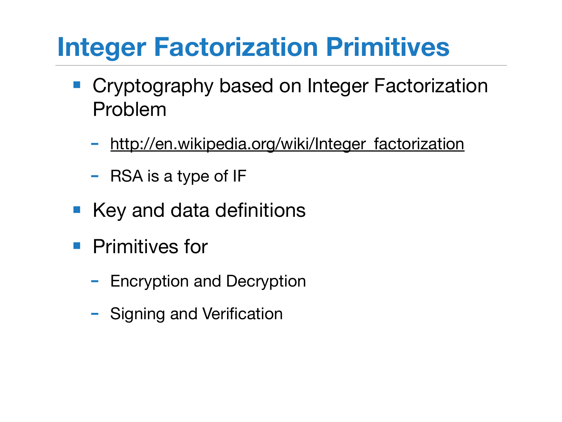## **Integer Factorization Primitives**

- Cryptography based on Integer Factorization Problem
	- [http://en.wikipedia.org/wiki/Integer\\_factorization](http://en.wikipedia.org/wiki/Integer_factorization)
	- RSA is a type of IF
- Key and data definitions
- Primitives for
	- Encryption and Decryption
	- Signing and Verification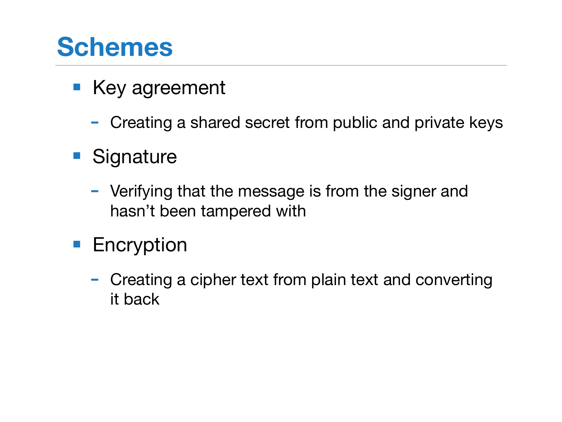#### **Schemes**

- Key agreement
	- Creating a shared secret from public and private keys
- Signature
	- Verifying that the message is from the signer and hasn't been tampered with
- Encryption
	- Creating a cipher text from plain text and converting it back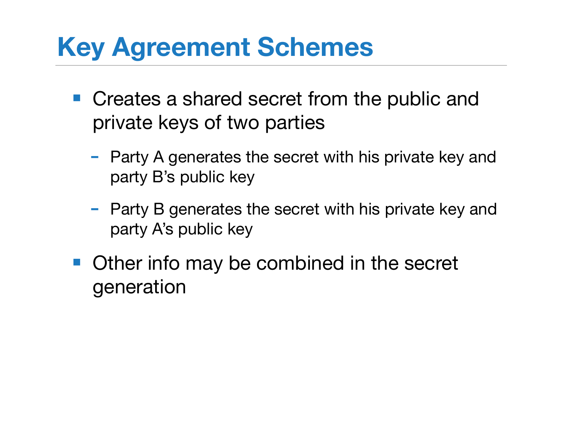## **Key Agreement Schemes**

- Creates a shared secret from the public and private keys of two parties
	- Party A generates the secret with his private key and party B's public key
	- Party B generates the secret with his private key and party A's public key
- Other info may be combined in the secret generation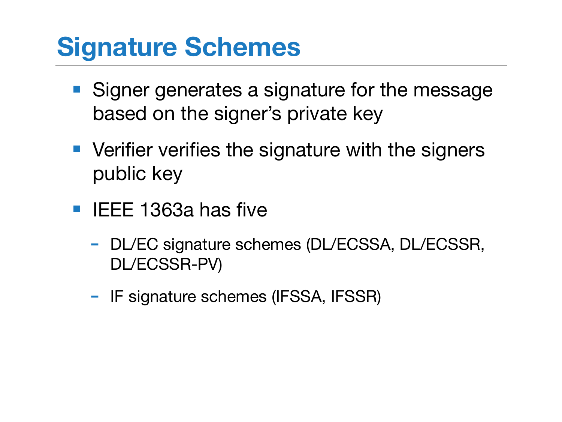#### **Signature Schemes**

- Signer generates a signature for the message based on the signer's private key
- Verifier verifies the signature with the signers public key
- IEEE 1363a has five
	- DL/EC signature schemes (DL/ECSSA, DL/ECSSR, DL/ECSSR-PV)
	- IF signature schemes (IFSSA, IFSSR)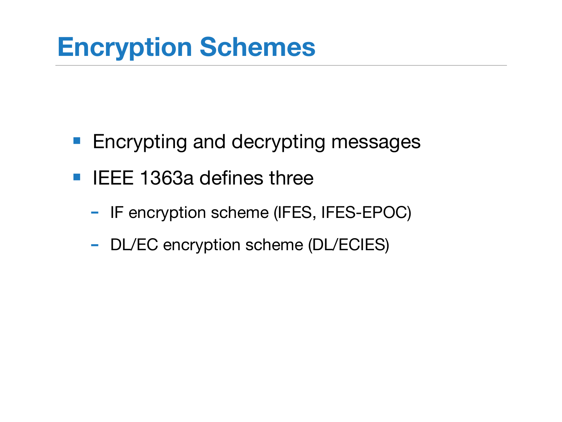#### **Encryption Schemes**

- Encrypting and decrypting messages
- IEEE 1363a defines three
	- IF encryption scheme (IFES, IFES-EPOC)
	- DL/EC encryption scheme (DL/ECIES)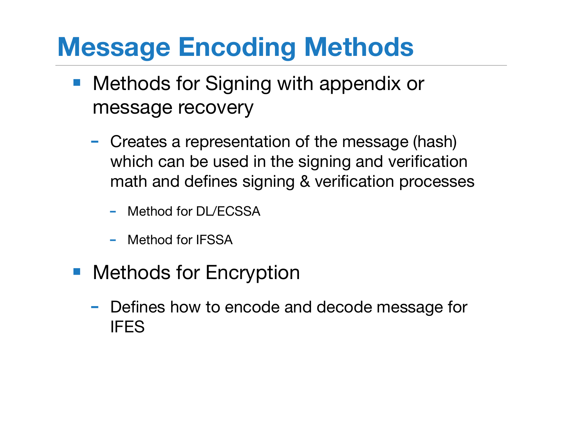## **Message Encoding Methods**

- Methods for Signing with appendix or message recovery
	- Creates a representation of the message (hash) which can be used in the signing and verification math and defines signing & verification processes
		- Method for DL/ECSSA
		- Method for IFSSA
- Methods for Encryption
	- Defines how to encode and decode message for IFES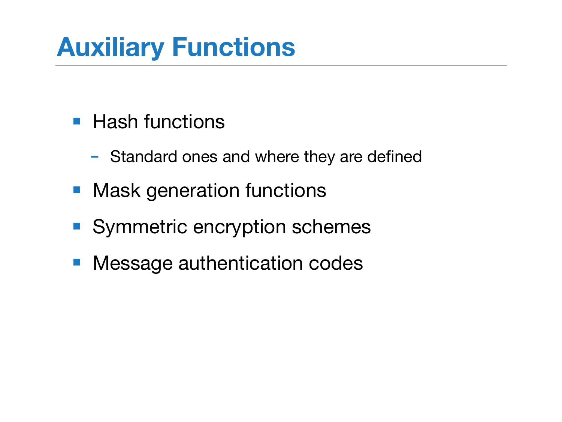# **Auxiliary Functions**

- Hash functions
	- Standard ones and where they are defined
- Mask generation functions
- Symmetric encryption schemes
- Message authentication codes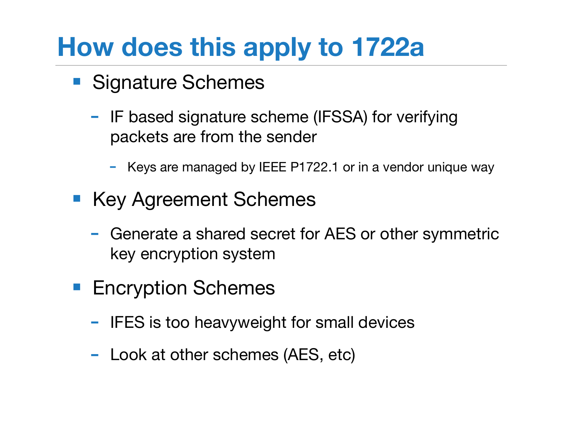## **How does this apply to 1722a**

- Signature Schemes
	- IF based signature scheme (IFSSA) for verifying packets are from the sender
		- Keys are managed by IEEE P1722.1 or in a vendor unique way
- Key Agreement Schemes
	- Generate a shared secret for AES or other symmetric key encryption system
- Encryption Schemes
	- IFES is too heavyweight for small devices
	- Look at other schemes (AES, etc)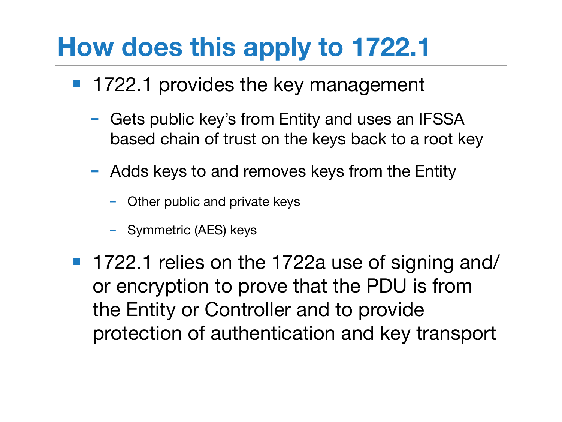## **How does this apply to 1722.1**

- 1722.1 provides the key management
	- Gets public key's from Entity and uses an IFSSA based chain of trust on the keys back to a root key
	- Adds keys to and removes keys from the Entity
		- Other public and private keys
		- Symmetric (AES) keys
- 1722.1 relies on the 1722a use of signing and/ or encryption to prove that the PDU is from the Entity or Controller and to provide protection of authentication and key transport